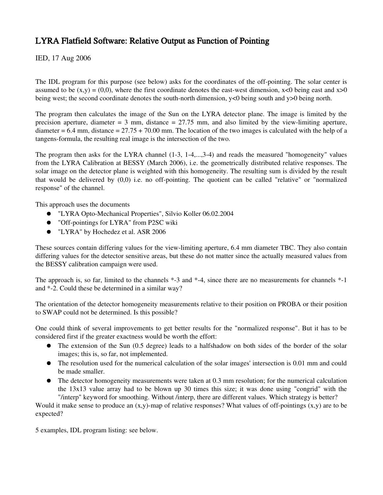## LYRA Flatfield Software: Relative Output as Function of Pointing

IED, 17 Aug 2006

The IDL program for this purpose (see below) asks for the coordinates of the off-pointing. The solar center is assumed to be  $(x,y) = (0,0)$ , where the first coordinate denotes the east-west dimension,  $x < 0$  being east and  $x > 0$ being west; the second coordinate denotes the south-north dimension,  $y < 0$  being south and  $y > 0$  being north.

The program then calculates the image of the Sun on the LYRA detector plane. The image is limited by the precision aperture, diameter =  $3 \text{ mm}$ , distance =  $27.75 \text{ mm}$ , and also limited by the view-limiting aperture, diameter =  $6.4$  mm, distance =  $27.75 + 70.00$  mm. The location of the two images is calculated with the help of a tangens-formula, the resulting real image is the intersection of the two.

The program then asks for the LYRA channel (1-3, 1-4,...,3-4) and reads the measured "homogeneity" values from the LYRA Calibration at BESSY (March 2006), i.e. the geometrically distributed relative responses. The solar image on the detector plane is weighted with this homogeneity. The resulting sum is divided by the result that would be delivered by  $(0,0)$  i.e. no off-pointing. The quotient can be called "relative" or "normalized" response" of the channel.

This approach uses the documents

- "LYRA Opto-Mechanical Properties", Silvio Koller 06.02.2004
- "Off-pointings for LYRA" from P2SC wiki
- "LYRA" by Hochedez et al. ASR 2006

These sources contain differing values for the view-limiting aperture, 6.4 mm diameter TBC. They also contain differing values for the detector sensitive areas, but these do not matter since the actually measured values from the BESSY calibration campaign were used.

The approach is, so far, limited to the channels \*-3 and \*-4, since there are no measurements for channels \*-1 and \*2. Could these be determined in a similar way?

The orientation of the detector homogeneity measurements relative to their position on PROBA or their position to SWAP could not be determined. Is this possible?

One could think of several improvements to get better results for the "normalized response". But it has to be considered first if the greater exactness would be worth the effort:

- The extension of the Sun (0.5 degree) leads to a halfshadow on both sides of the border of the solar images; this is, so far, not implemented.
- The resolution used for the numerical calculation of the solar images' intersection is 0.01 mm and could be made smaller.
- The detector homogeneity measurements were taken at 0.3 mm resolution; for the numerical calculation the 13x13 value array had to be blown up 30 times this size; it was done using "congrid" with the "/interp" keyword for smoothing. Without /interp, there are different values. Which strategy is better?

Would it make sense to produce an  $(x,y)$ -map of relative responses? What values of off-pointings  $(x,y)$  are to be expected?

5 examples, IDL program listing: see below.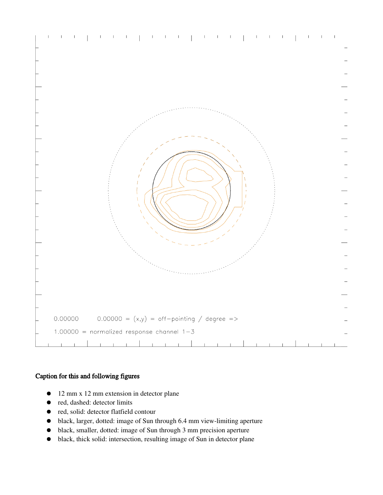

## Caption for this and following figures

- 12 mm x 12 mm extension in detector plane
- red, dashed: detector limits
- red, solid: detector flatfield contour
- black, larger, dotted: image of Sun through 6.4 mm view-limiting aperture
- black, smaller, dotted: image of Sun through 3 mm precision aperture
- black, thick solid: intersection, resulting image of Sun in detector plane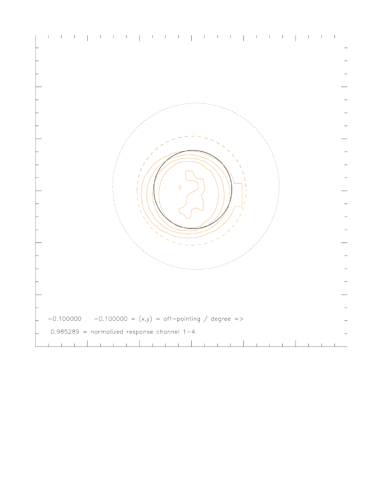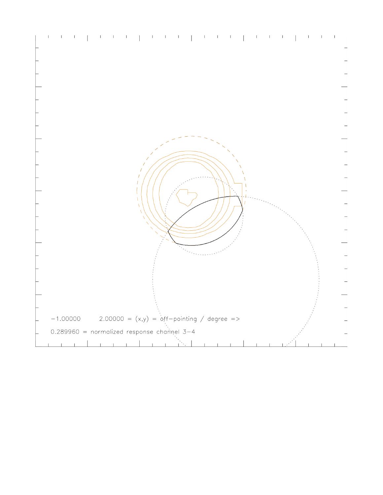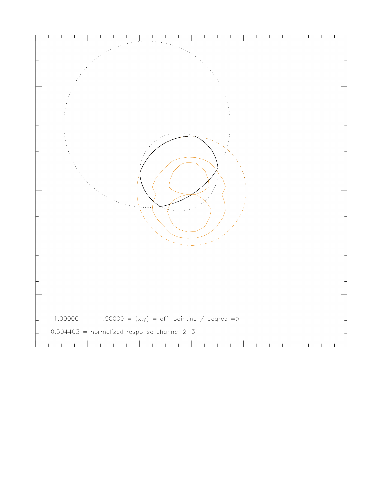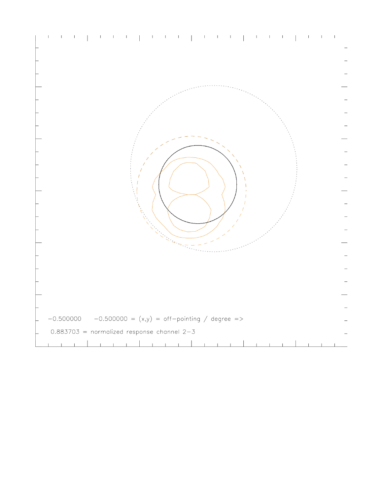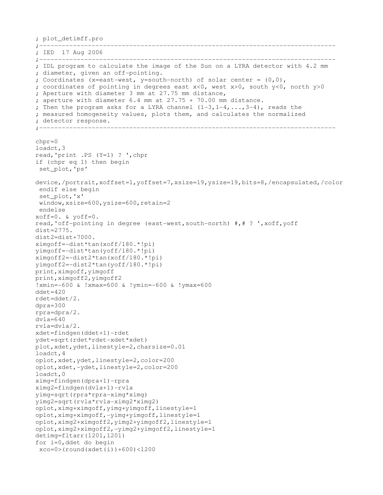```
; plot_detimff.pro
;
; IED  17 Aug 2006
;
; IDL program to calculate the image of the Sun on a LYRA detector with 4.2 mm
; diameter, given an off-pointing.
; Coordinates (x=east-west, y=south-north) of solar center = (0,0),
; coordinates of pointing in degrees east x<0, west x>0, south y<0, north y>0 
; Aperture with diameter 3 mm at 27.75 mm distance,
; aperture with diameter 6.4 mm at 27.75 + 70.00 mm distance.
; Then the program asks for a LYRA channel (1-3, 1-4, \ldots, 3-4), reads the
; measured homogeneity values, plots them, and calculates the normalized 
; detector response.<br>;-------------------
                             ;
chpr=0
loadct,3
read,'print .PS (Y=1) ? ',chpr
if (chpr eq 1) then begin
 set_plot,'ps'
device,/portrait,xoffset=1,yoffset=7,xsize=19,ysize=19,bits=8,/encapsulated,/color
  endif else begin
  set_plot,'x'
 window,xsize=600,ysize=600,retain=2
 endelse
xoff=0. & yoff=0.
read,'off-pointing in degree (east-west, south-north) #,# ? ', xoff, yoff
dist=2775.
dist2=dist+7000.
ximgoff=dist*tan(xoff/180.*!pi)
yimgoff=dist*tan(yoff/180.*!pi)
ximgoff2=dist2*tan(xoff/180.*!pi)
yimgoff2=dist2*tan(yoff/180.*!pi)
print,ximgoff,yimgoff
print,ximgoff2,yimgoff2
!xmin=600 & !xmax=600 & !ymin=600 & !ymax=600
ddet = 420rdet=ddet/2.
dpra=300
rpra=dpra/2.
dvla=640
rvla=dvla/2.
xdet=findgen(ddet+1)-rdet
ydet=sqrt(rdet*rdet-xdet*xdet)
plot,xdet,ydet,linestyle=2,charsize=0.01
loadct,4
oplot,xdet,ydet,linestyle=2,color=200
oplot, xdet,-ydet, linestyle=2, color=200
loadct,0
ximg = findgen(dpra+1)-rpraximg2=findqen(dvla+1)-rvlayimg=sqrt(rpra*rpraximg*ximg)
yimg2=sqrt(rvla*rvla-ximg2*ximg2)
oplot,ximg+ximgoff,yimg+yimgoff,linestyle=1
oplot, ximg+ximgoff,-yimg+yimgoff,linestyle=1
oplot,ximg2+ximgoff2,yimg2+yimgoff2,linestyle=1
oplot, ximg2+ximgoff2,-yimg2+yimgoff2, linestyle=1
detimg=fltarr(1201,1201)
for i=0,ddet do begin 
 xco=0>(round(xdet(i))+600)<1200
```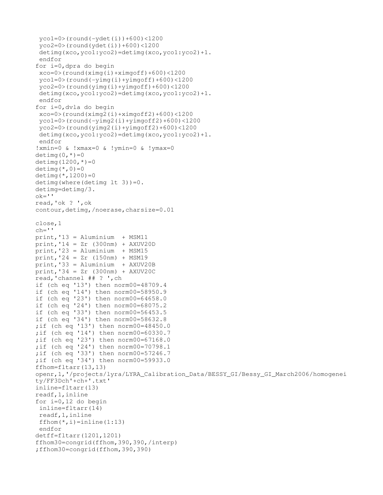```
yco1=0 / round(-ydet(i))+600) <1200
  yco2=0>(round(ydet(i))+600)<1200
  detimg(xco,yco1:yco2)=detimg(xco,yco1:yco2)+1.
  endfor
for i=0,dpra do begin
  xco=0>(round(ximg(i)+ximgoff)+600)<1200
 ycol=0 > (round (-yimg(i)+yimgoff)+600)<1200
  yco2=0>(round(yimg(i)+yimgoff)+600)<1200
  detimg(xco,yco1:yco2)=detimg(xco,yco1:yco2)+1.
  endfor
for i=0,dvla do begin
  xco=0>(round(ximg2(i)+ximgoff2)+600)<1200
 yco1=0 > (round (-yimg2(i)+yimgoff2)+600)<1200
  yco2=0>(round(yimg2(i)+yimgoff2)+600)<1200
  detimg(xco,yco1:yco2)=detimg(xco,yco1:yco2)+1.
  endfor
!xmin=0 & !xmax=0 & !ymin=0 & !ymax=0
detimg(0, *)=0
detimg(1200, *)=0
detimg(*,0)=0
detimg (*, 1200) = 0detimg(where(detimg lt 3))=0.
detimg=detimg/3.
ok ='read,'ok ? ',ok
contour,detimg,/noerase,charsize=0.01
close,1
ch = 1print,'13 = Aluminium  + MSM11
print,'14 = Zr (300nm) + AXUV20D
print,'23 = Aluminium  + MSM15
print,'24 = Zr (150nm) + MSM19
print,'33 = Aluminium  + AXUV20B
print,'34 = Zr (300nm) + AXUV20C
read,'channel ## ? ',ch
if (ch eq '13') then norm00=48709.4
if (ch eq '14') then norm00=58950.9
if (ch eq '23') then norm00=64658.0
if (ch eq '24') then norm00=68075.2
if (ch eq '33') then norm00=56453.5
if (ch eq '34') then norm00=58632.8
;if (ch eq '13') then norm00=48450.0
;if (ch eq '14') then norm00=60330.7
;if (ch eq '23') then norm00=67168.0
;if (ch eq '24') then norm00=70798.1
;if (ch eq '33') then norm00=57246.7
;if (ch eq '34') then norm00=59933.0
ffhom=fltarr(13,13)
openr,1,'/projects/lyra/LYRA_Calibration_Data/BESSY_GI/Bessy_GI_March2006/homogenei
ty/FF3Dch'+ch+'.txt'
inline=fltarr(13)
readf,1,inline
for i=0,12 do begin
  inline=fltarr(14)
  readf,1,inline
 ffhom(*,i)=inline(1:13) endfor
detff=fltarr(1201,1201)
ffhom30=congrid(ffhom,390,390,/interp)
;ffhom30=congrid(ffhom,390,390)
```